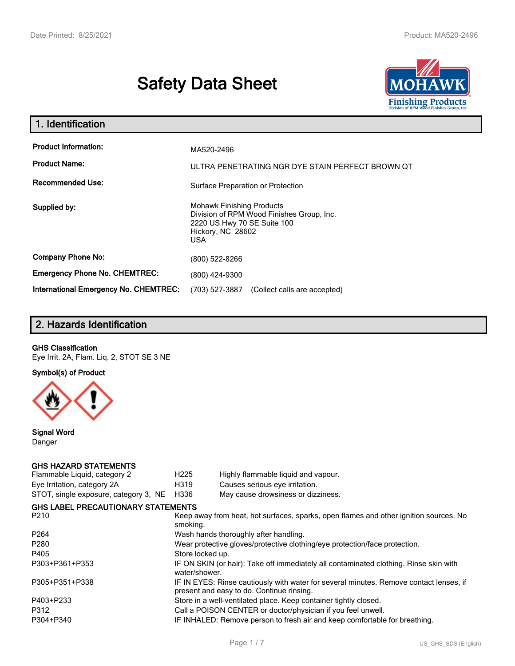# **Safety Data Sheet**



| 1. Identification                                   |                                                                                                                                          |
|-----------------------------------------------------|------------------------------------------------------------------------------------------------------------------------------------------|
| <b>Product Information:</b><br><b>Product Name:</b> | MA520-2496<br>ULTRA PENETRATING NGR DYE STAIN PERFECT BROWN OT                                                                           |
| <b>Recommended Use:</b>                             | Surface Preparation or Protection                                                                                                        |
| Supplied by:                                        | <b>Mohawk Finishing Products</b><br>Division of RPM Wood Finishes Group, Inc.<br>2220 US Hwy 70 SE Suite 100<br>Hickory, NC 28602<br>USA |
| <b>Company Phone No:</b>                            | (800) 522-8266                                                                                                                           |
| <b>Emergency Phone No. CHEMTREC:</b>                | (800) 424-9300                                                                                                                           |
| <b>International Emergency No. CHEMTREC:</b>        | (703) 527-3887<br>(Collect calls are accepted)                                                                                           |

# **2. Hazards Identification**

#### **GHS Classification**

Eye Irrit. 2A, Flam. Liq. 2, STOT SE 3 NE

**Symbol(s) of Product**



**Signal Word** Danger

#### **GHS HAZARD STATEMENTS**

| Flammable Liquid, category 2              | H <sub>225</sub>                                                                                                                    | Highly flammable liquid and vapour. |  |
|-------------------------------------------|-------------------------------------------------------------------------------------------------------------------------------------|-------------------------------------|--|
| Eye Irritation, category 2A               | H319                                                                                                                                | Causes serious eye irritation.      |  |
| STOT, single exposure, category 3, NE     | H336                                                                                                                                | May cause drowsiness or dizziness.  |  |
| <b>GHS LABEL PRECAUTIONARY STATEMENTS</b> |                                                                                                                                     |                                     |  |
| P <sub>210</sub>                          | Keep away from heat, hot surfaces, sparks, open flames and other ignition sources. No<br>smoking.                                   |                                     |  |
| P <sub>264</sub>                          | Wash hands thoroughly after handling.                                                                                               |                                     |  |
| P <sub>280</sub>                          | Wear protective gloves/protective clothing/eye protection/face protection.                                                          |                                     |  |
| P405                                      | Store locked up.                                                                                                                    |                                     |  |
| P303+P361+P353                            | IF ON SKIN (or hair): Take off immediately all contaminated clothing. Rinse skin with<br>water/shower.                              |                                     |  |
| P305+P351+P338                            | IF IN EYES: Rinse cautiously with water for several minutes. Remove contact lenses, if<br>present and easy to do. Continue rinsing. |                                     |  |
| P403+P233                                 | Store in a well-ventilated place. Keep container tightly closed.                                                                    |                                     |  |
| P312                                      | Call a POISON CENTER or doctor/physician if you feel unwell.                                                                        |                                     |  |
| P304+P340                                 | IF INHALED: Remove person to fresh air and keep comfortable for breathing.                                                          |                                     |  |
|                                           |                                                                                                                                     |                                     |  |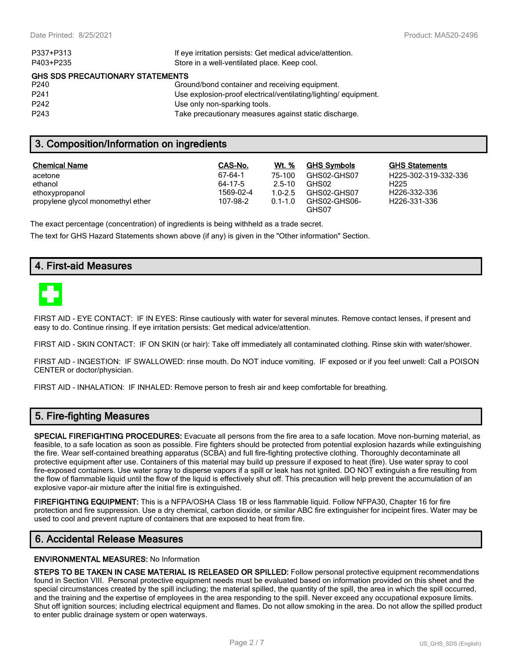| If eye irritation persists: Get medical advice/attention.      |  |  |  |  |
|----------------------------------------------------------------|--|--|--|--|
| P403+P235<br>Store in a well-ventilated place. Keep cool.      |  |  |  |  |
| <b>GHS SDS PRECAUTIONARY STATEMENTS</b>                        |  |  |  |  |
| Ground/bond container and receiving equipment.                 |  |  |  |  |
| Use explosion-proof electrical/ventilating/lighting/equipment. |  |  |  |  |
| Use only non-sparking tools.                                   |  |  |  |  |
| Take precautionary measures against static discharge.          |  |  |  |  |
|                                                                |  |  |  |  |

### **3. Composition/Information on ingredients**

| <b>Chemical Name</b>              | CAS-No.   | <b>Wt.</b> % | <b>GHS Symbols</b>    | <b>GHS Statements</b> |
|-----------------------------------|-----------|--------------|-----------------------|-----------------------|
| acetone                           | 67-64-1   | 75-100       | GHS02-GHS07           | H225-302-319-332-336  |
| ethanol                           | 64-17-5   | $2.5 - 10$   | GHS02                 | H <sub>225</sub>      |
| ethoxypropanol                    | 1569-02-4 | $1.0 - 2.5$  | GHS02-GHS07           | H226-332-336          |
| propylene glycol monomethyl ether | 107-98-2  | $0.1 - 1.0$  | GHS02-GHS06-<br>GHS07 | H226-331-336          |

The exact percentage (concentration) of ingredients is being withheld as a trade secret.

The text for GHS Hazard Statements shown above (if any) is given in the "Other information" Section.

# **4. First-aid Measures**



FIRST AID - EYE CONTACT: IF IN EYES: Rinse cautiously with water for several minutes. Remove contact lenses, if present and easy to do. Continue rinsing. If eye irritation persists: Get medical advice/attention.

FIRST AID - SKIN CONTACT: IF ON SKIN (or hair): Take off immediately all contaminated clothing. Rinse skin with water/shower.

FIRST AID - INGESTION: IF SWALLOWED: rinse mouth. Do NOT induce vomiting. IF exposed or if you feel unwell: Call a POISON CENTER or doctor/physician.

FIRST AID - INHALATION: IF INHALED: Remove person to fresh air and keep comfortable for breathing.

## **5. Fire-fighting Measures**

**SPECIAL FIREFIGHTING PROCEDURES:** Evacuate all persons from the fire area to a safe location. Move non-burning material, as feasible, to a safe location as soon as possible. Fire fighters should be protected from potential explosion hazards while extinguishing the fire. Wear self-contained breathing apparatus (SCBA) and full fire-fighting protective clothing. Thoroughly decontaminate all protective equipment after use. Containers of this material may build up pressure if exposed to heat (fire). Use water spray to cool fire-exposed containers. Use water spray to disperse vapors if a spill or leak has not ignited. DO NOT extinguish a fire resulting from the flow of flammable liquid until the flow of the liquid is effectively shut off. This precaution will help prevent the accumulation of an explosive vapor-air mixture after the initial fire is extinguished.

**FIREFIGHTING EQUIPMENT:** This is a NFPA/OSHA Class 1B or less flammable liquid. Follow NFPA30, Chapter 16 for fire protection and fire suppression. Use a dry chemical, carbon dioxide, or similar ABC fire extinguisher for incipeint fires. Water may be used to cool and prevent rupture of containers that are exposed to heat from fire.

### **6. Accidental Release Measures**

#### **ENVIRONMENTAL MEASURES:** No Information

**STEPS TO BE TAKEN IN CASE MATERIAL IS RELEASED OR SPILLED:** Follow personal protective equipment recommendations found in Section VIII. Personal protective equipment needs must be evaluated based on information provided on this sheet and the special circumstances created by the spill including; the material spilled, the quantity of the spill, the area in which the spill occurred, and the training and the expertise of employees in the area responding to the spill. Never exceed any occupational exposure limits. Shut off ignition sources; including electrical equipment and flames. Do not allow smoking in the area. Do not allow the spilled product to enter public drainage system or open waterways.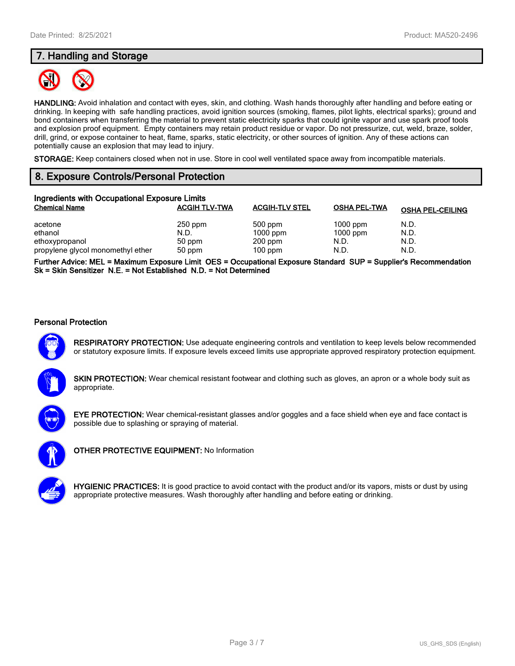# **7. Handling and Storage**



**HANDLING:** Avoid inhalation and contact with eyes, skin, and clothing. Wash hands thoroughly after handling and before eating or drinking. In keeping with safe handling practices, avoid ignition sources (smoking, flames, pilot lights, electrical sparks); ground and bond containers when transferring the material to prevent static electricity sparks that could ignite vapor and use spark proof tools and explosion proof equipment. Empty containers may retain product residue or vapor. Do not pressurize, cut, weld, braze, solder, drill, grind, or expose container to heat, flame, sparks, static electricity, or other sources of ignition. Any of these actions can potentially cause an explosion that may lead to injury.

**STORAGE:** Keep containers closed when not in use. Store in cool well ventilated space away from incompatible materials.

# **8. Exposure Controls/Personal Protection**

| Ingredients with Occupational Exposure Limits |                      |                       |                     |                         |
|-----------------------------------------------|----------------------|-----------------------|---------------------|-------------------------|
| <b>Chemical Name</b>                          | <b>ACGIH TLV-TWA</b> | <b>ACGIH-TLV STEL</b> | <b>OSHA PEL-TWA</b> | <b>OSHA PEL-CEILING</b> |
| acetone                                       | $250$ ppm            | 500 ppm               | $1000$ ppm          | N.D.                    |
| ethanol                                       | N.D.                 | $1000$ ppm            | $1000$ ppm          | N.D.                    |
| ethoxypropanol                                | 50 ppm               | $200$ ppm             | N.D.                | N.D.                    |
| propylene glycol monomethyl ether             | 50 ppm               | $100$ ppm             | N.D.                | N.D.                    |

**Further Advice: MEL = Maximum Exposure Limit OES = Occupational Exposure Standard SUP = Supplier's Recommendation Sk = Skin Sensitizer N.E. = Not Established N.D. = Not Determined**

#### **Personal Protection**



**RESPIRATORY PROTECTION:** Use adequate engineering controls and ventilation to keep levels below recommended or statutory exposure limits. If exposure levels exceed limits use appropriate approved respiratory protection equipment.

**SKIN PROTECTION:** Wear chemical resistant footwear and clothing such as gloves, an apron or a whole body suit as appropriate.



**EYE PROTECTION:** Wear chemical-resistant glasses and/or goggles and a face shield when eye and face contact is possible due to splashing or spraying of material.



**OTHER PROTECTIVE EQUIPMENT:** No Information



**HYGIENIC PRACTICES:** It is good practice to avoid contact with the product and/or its vapors, mists or dust by using appropriate protective measures. Wash thoroughly after handling and before eating or drinking.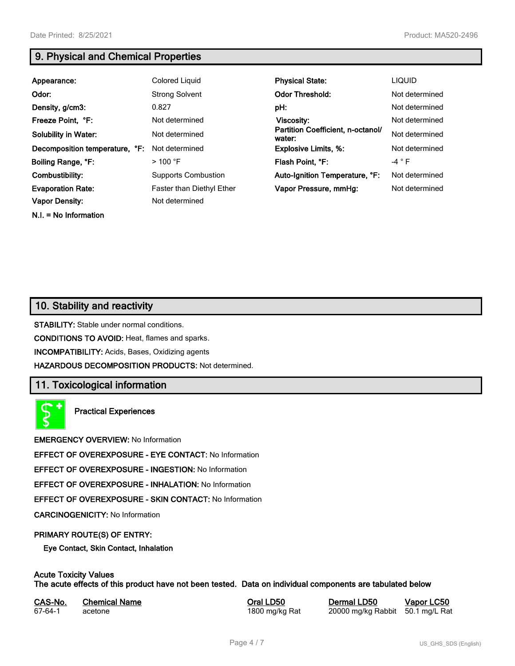**N.I. = No Information**

# **9. Physical and Chemical Properties**

| Appearance:                    | Colored Liquid                   | <b>Physical State:</b>                      | <b>LIQUID</b>  |
|--------------------------------|----------------------------------|---------------------------------------------|----------------|
| Odor:                          | <b>Strong Solvent</b>            | <b>Odor Threshold:</b>                      | Not determined |
| Density, g/cm3:                | 0.827                            | pH:                                         | Not determined |
| Freeze Point, °F:              | Not determined                   | Viscosity:                                  | Not determined |
| <b>Solubility in Water:</b>    | Not determined                   | Partition Coefficient, n-octanol/<br>water: | Not determined |
| Decomposition temperature, °F: | Not determined                   | <b>Explosive Limits, %:</b>                 | Not determined |
| Boiling Range, °F:             | $>$ 100 °F                       | Flash Point, °F:                            | $-4$ $\circ$ F |
| Combustibility:                | <b>Supports Combustion</b>       | Auto-Ignition Temperature, °F:              | Not determined |
| <b>Evaporation Rate:</b>       | <b>Faster than Diethyl Ether</b> | Vapor Pressure, mmHg:                       | Not determined |
| <b>Vapor Density:</b>          | Not determined                   |                                             |                |

# **10. Stability and reactivity**

**STABILITY:** Stable under normal conditions.

**CONDITIONS TO AVOID:** Heat, flames and sparks.

**INCOMPATIBILITY:** Acids, Bases, Oxidizing agents

**HAZARDOUS DECOMPOSITION PRODUCTS:** Not determined.

# **11. Toxicological information**

**Practical Experiences**

**EMERGENCY OVERVIEW:** No Information

**EFFECT OF OVEREXPOSURE - EYE CONTACT:** No Information

**EFFECT OF OVEREXPOSURE - INGESTION:** No Information

**EFFECT OF OVEREXPOSURE - INHALATION:** No Information

**EFFECT OF OVEREXPOSURE - SKIN CONTACT:** No Information

**CARCINOGENICITY:** No Information

#### **PRIMARY ROUTE(S) OF ENTRY:**

**Eye Contact, Skin Contact, Inhalation**

# **Acute Toxicity Values**

**The acute effects of this product have not been tested. Data on individual components are tabulated below**

| CAS-No. | <b>Chemical Name</b> |
|---------|----------------------|
| 67-64-1 | acetone              |

**Casary Chemical Chemical LD50 Chemical LD50 Vapor LC50** 1800 mg/kg Rat 20000 mg/kg Rabbit 50.1 mg/L Rat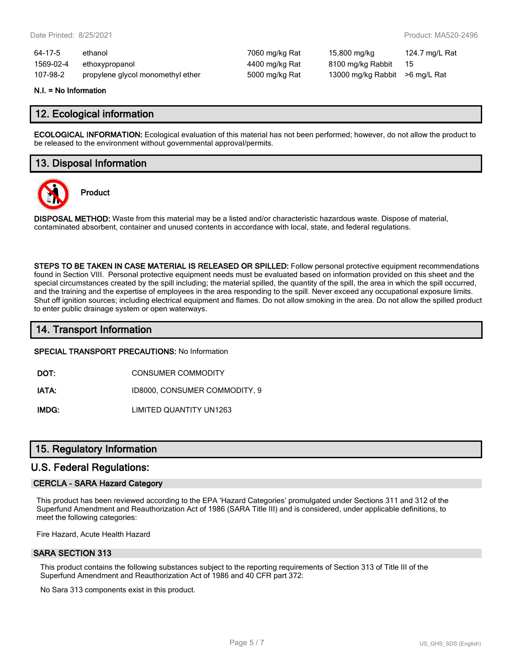| 64-17-5   | ethanol                           | 7060 mg/kg Rat | 15,800 mg/kg                   | 124.7 mg/L Rat |
|-----------|-----------------------------------|----------------|--------------------------------|----------------|
| 1569-02-4 | ethoxypropanol                    | 4400 mg/kg Rat | 8100 mg/kg Rabbit              | - 15           |
| 107-98-2  | propylene glycol monomethyl ether | 5000 mg/kg Rat | 13000 mg/kg Rabbit >6 mg/L Rat |                |

#### **N.I. = No Information**

#### **12. Ecological information**

**ECOLOGICAL INFORMATION:** Ecological evaluation of this material has not been performed; however, do not allow the product to be released to the environment without governmental approval/permits.

### **13. Disposal Information**



**Product**

**DISPOSAL METHOD:** Waste from this material may be a listed and/or characteristic hazardous waste. Dispose of material, contaminated absorbent, container and unused contents in accordance with local, state, and federal regulations.

**STEPS TO BE TAKEN IN CASE MATERIAL IS RELEASED OR SPILLED:** Follow personal protective equipment recommendations found in Section VIII. Personal protective equipment needs must be evaluated based on information provided on this sheet and the special circumstances created by the spill including; the material spilled, the quantity of the spill, the area in which the spill occurred, and the training and the expertise of employees in the area responding to the spill. Never exceed any occupational exposure limits. Shut off ignition sources; including electrical equipment and flames. Do not allow smoking in the area. Do not allow the spilled product to enter public drainage system or open waterways.

### **14. Transport Information**

#### **SPECIAL TRANSPORT PRECAUTIONS:** No Information

**DOT:** CONSUMER COMMODITY

**IATA:** ID8000, CONSUMER COMMODITY, 9

**IMDG:** LIMITED QUANTITY UN1263

### **15. Regulatory Information**

#### **U.S. Federal Regulations:**

#### **CERCLA - SARA Hazard Category**

This product has been reviewed according to the EPA 'Hazard Categories' promulgated under Sections 311 and 312 of the Superfund Amendment and Reauthorization Act of 1986 (SARA Title III) and is considered, under applicable definitions, to meet the following categories:

Fire Hazard, Acute Health Hazard

#### **SARA SECTION 313**

This product contains the following substances subject to the reporting requirements of Section 313 of Title III of the Superfund Amendment and Reauthorization Act of 1986 and 40 CFR part 372:

No Sara 313 components exist in this product.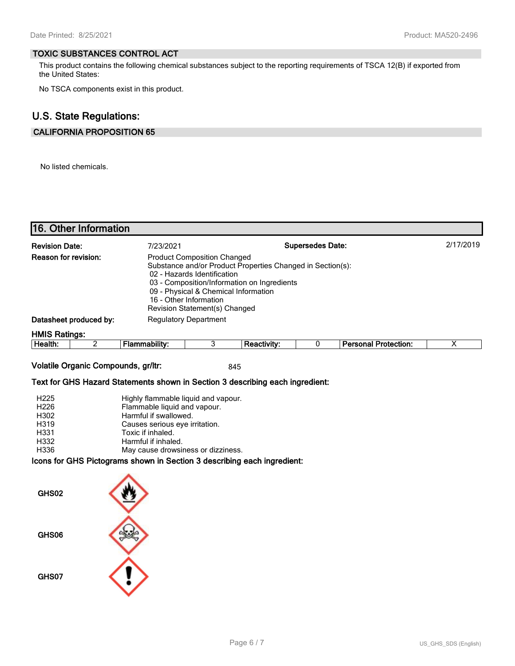#### **TOXIC SUBSTANCES CONTROL ACT**

This product contains the following chemical substances subject to the reporting requirements of TSCA 12(B) if exported from the United States:

No TSCA components exist in this product.

## **U.S. State Regulations:**

#### **CALIFORNIA PROPOSITION 65**

No listed chemicals.

**16. Other Information**

| TT6. Other Information |                      |                                                                                                                                                                      |                                                                                                           |                         |                             |           |
|------------------------|----------------------|----------------------------------------------------------------------------------------------------------------------------------------------------------------------|-----------------------------------------------------------------------------------------------------------|-------------------------|-----------------------------|-----------|
| <b>Revision Date:</b>  | 7/23/2021            |                                                                                                                                                                      |                                                                                                           | <b>Supersedes Date:</b> |                             | 2/17/2019 |
| Reason for revision:   |                      | <b>Product Composition Changed</b><br>02 - Hazards Identification<br>09 - Physical & Chemical Information<br>16 - Other Information<br>Revision Statement(s) Changed | Substance and/or Product Properties Changed in Section(s):<br>03 - Composition/Information on Ingredients |                         |                             |           |
| Datasheet produced by: |                      | <b>Regulatory Department</b>                                                                                                                                         |                                                                                                           |                         |                             |           |
| <b>HMIS Ratings:</b>   |                      |                                                                                                                                                                      |                                                                                                           |                         |                             |           |
| Health:                | <b>Flammability:</b> | 3                                                                                                                                                                    | <b>Reactivity:</b>                                                                                        |                         | <b>Personal Protection:</b> |           |

#### **Volatile Organic Compounds, gr/ltr:** 845

#### **Text for GHS Hazard Statements shown in Section 3 describing each ingredient:**

| H <sub>225</sub> | Highly flammable liquid and vapour. |
|------------------|-------------------------------------|
| H <sub>226</sub> | Flammable liquid and vapour.        |
| H302             | Harmful if swallowed.               |
| H319             | Causes serious eye irritation.      |
| H331             | Toxic if inhaled.                   |
| H332             | Harmful if inhaled.                 |
| H336             | May cause drowsiness or dizziness.  |

#### **Icons for GHS Pictograms shown in Section 3 describing each ingredient:**